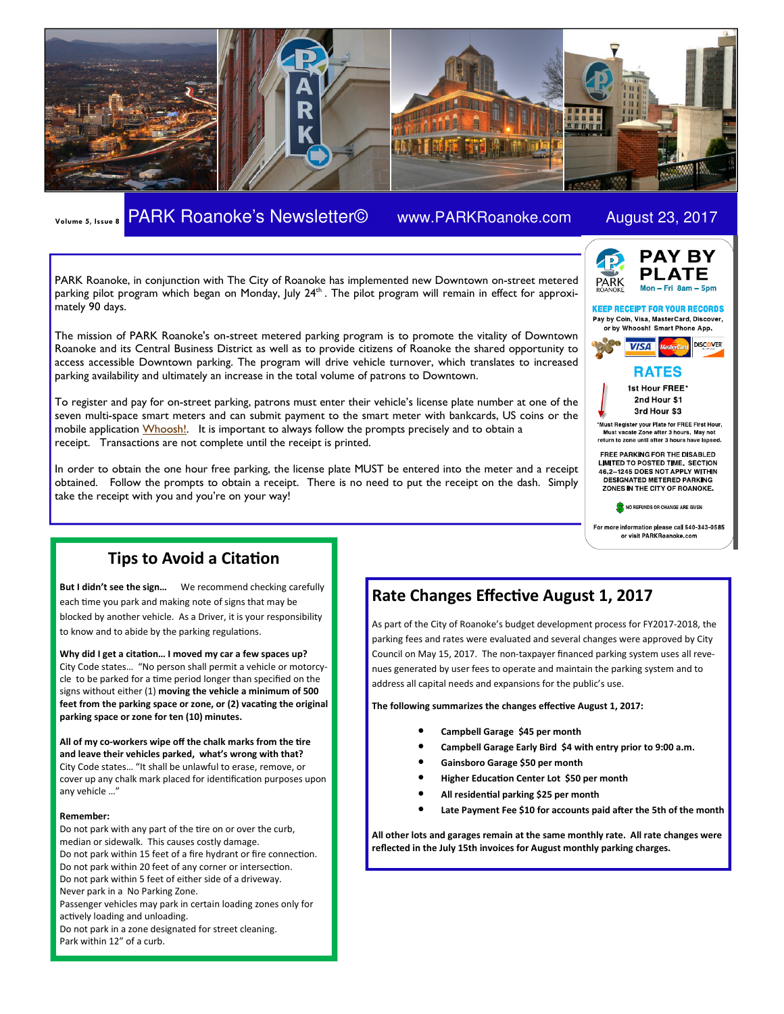

# Volume 5, Issue 8 PARK Roanoke's Newsletter© www.PARKRoanoke.com August 23, 2017



**KEEP RECEIPT FOR YOUR RECORDS** 

PARK Roanoke, in conjunction with The City of Roanoke has implemented new Downtown on-street metered parking pilot program which began on Monday, July 24<sup>th</sup> . The pilot program will remain in effect for approximately 90 days.

The mission of PARK Roanoke's on-street metered parking program is to promote the vitality of Downtown Roanoke and its Central Business District as well as to provide citizens of Roanoke the shared opportunity to access accessible Downtown parking. The program will drive vehicle turnover, which translates to increased parking availability and ultimately an increase in the total volume of patrons to Downtown.

To register and pay for on-street parking, patrons must enter their vehicle's license plate number at one of the seven multi-space smart meters and can submit payment to the smart meter with bankcards, US coins or the mobile application Whoosh! It is important to always follow the prompts precisely and to obtain a receipt. Transactions are not complete until the receipt is printed.

In order to obtain the one hour free parking, the license plate MUST be entered into the meter and a receipt obtained. Follow the prompts to obtain a receipt. There is no need to put the receipt on the dash. Simply take the receipt with you and you're on your way!



1st Hour FREE\* 2nd Hour \$1 3rd Hour \$3

\*Must Register your Plate for FREE First Hour, scate Zone after 3 hours. May return to zone until after 3 hours have lapsed.

FREE PARKING FOR THE DISABLED LIMITED TO POSTED TIME. SECTION<br>46.2-1245 DOES NOT APPLY WITHIN **DESIGNATED METERED PARKING** ZONES IN THE CITY OF ROANOKE.

NO REFUNDS OR CHANGE ARE GIVEN

For more information please call 540-343-0585 or visit PARKRoanoke.com

# Tips to Avoid a Citation

But I didn't see the sign... We recommend checking carefully each time you park and making note of signs that may be blocked by another vehicle. As a Driver, it is your responsibility to know and to abide by the parking regulations.

Why did I get a citation... I moved my car a few spaces up? City Code states… "No person shall permit a vehicle or motorcycle to be parked for a time period longer than specified on the signs without either (1) moving the vehicle a minimum of 500 feet from the parking space or zone, or (2) vacating the original parking space or zone for ten (10) minutes.

All of my co-workers wipe off the chalk marks from the tire and leave their vehicles parked, what's wrong with that? City Code states… "It shall be unlawful to erase, remove, or cover up any chalk mark placed for identification purposes upon any vehicle …"

#### Remember:

Do not park with any part of the tire on or over the curb, median or sidewalk. This causes costly damage. Do not park within 15 feet of a fire hydrant or fire connection. Do not park within 20 feet of any corner or intersection. Do not park within 5 feet of either side of a driveway. Never park in a No Parking Zone. Passenger vehicles may park in certain loading zones only for actively loading and unloading. Do not park in a zone designated for street cleaning. Park within 12" of a curb.

# Rate Changes Effective August 1, 2017

As part of the City of Roanoke's budget development process for FY2017-2018, the parking fees and rates were evaluated and several changes were approved by City Council on May 15, 2017. The non-taxpayer financed parking system uses all revenues generated by user fees to operate and maintain the parking system and to address all capital needs and expansions for the public's use.

The following summarizes the changes effective August 1, 2017:

- Campbell Garage \$45 per month
- Campbell Garage Early Bird \$4 with entry prior to 9:00 a.m.
- Gainsboro Garage \$50 per month
- Higher Education Center Lot \$50 per month
- All residential parking \$25 per month
- Late Payment Fee \$10 for accounts paid after the 5th of the month

All other lots and garages remain at the same monthly rate. All rate changes were reflected in the July 15th invoices for August monthly parking charges.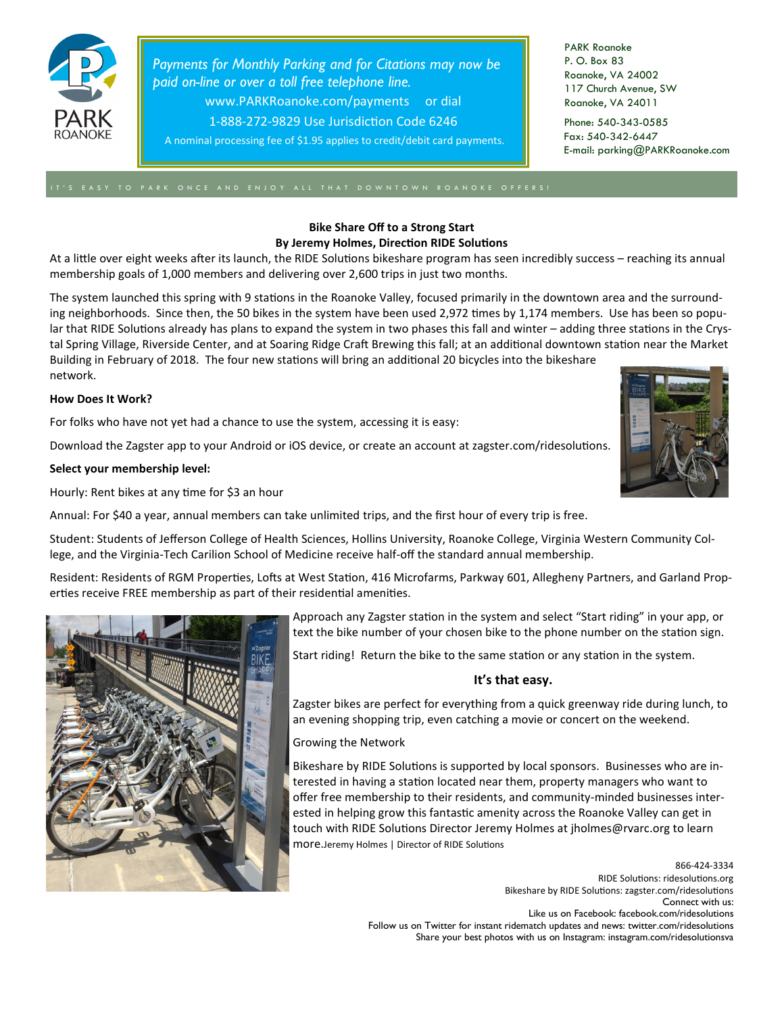

Payments for Monthly Parking and for Citations may now be paid on-line or over a toll free telephone line. www.PARKRoanoke.com/payments or dial

1-888-272-9829 Use Jurisdiction Code 6246

A nominal processing fee of \$1.95 applies to credit/debit card payments.

PARK Roanoke P. O. Box 83 Roanoke, VA 24002 117 Church Avenue, SW Roanoke, VA 24011

Phone: 540-343-0585 Fax: 540-342-6447 E-mail: parking@PARKRoanoke.com

### Bike Share Off to a Strong Start By Jeremy Holmes, Direction RIDE Solutions

At a little over eight weeks after its launch, the RIDE Solutions bikeshare program has seen incredibly success – reaching its annual membership goals of 1,000 members and delivering over 2,600 trips in just two months.

The system launched this spring with 9 stations in the Roanoke Valley, focused primarily in the downtown area and the surrounding neighborhoods. Since then, the 50 bikes in the system have been used 2,972 times by 1,174 members. Use has been so popular that RIDE Solutions already has plans to expand the system in two phases this fall and winter - adding three stations in the Crystal Spring Village, Riverside Center, and at Soaring Ridge Craft Brewing this fall; at an additional downtown station near the Market Building in February of 2018. The four new stations will bring an additional 20 bicycles into the bikeshare network.

### How Does It Work?

For folks who have not yet had a chance to use the system, accessing it is easy:

Download the Zagster app to your Android or iOS device, or create an account at zagster.com/ridesolutions.

#### Select your membership level:

Hourly: Rent bikes at any time for \$3 an hour

Annual: For \$40 a year, annual members can take unlimited trips, and the first hour of every trip is free.

Student: Students of Jefferson College of Health Sciences, Hollins University, Roanoke College, Virginia Western Community College, and the Virginia-Tech Carilion School of Medicine receive half-off the standard annual membership.

Resident: Residents of RGM Properties, Lofts at West Station, 416 Microfarms, Parkway 601, Allegheny Partners, and Garland Properties receive FREE membership as part of their residential amenities.



Start riding! Return the bike to the same station or any station in the system.

### It's that easy.

Zagster bikes are perfect for everything from a quick greenway ride during lunch, to an evening shopping trip, even catching a movie or concert on the weekend.

### Growing the Network

Bikeshare by RIDE Solutions is supported by local sponsors. Businesses who are interested in having a station located near them, property managers who want to offer free membership to their residents, and community-minded businesses interested in helping grow this fantastic amenity across the Roanoke Valley can get in touch with RIDE Solutions Director Jeremy Holmes at jholmes@rvarc.org to learn more.Jeremy Holmes | Director of RIDE Solutions

> 866-424-3334 RIDE Solutions: ridesolutions.org Bikeshare by RIDE Solutions: zagster.com/ridesolutions Connect with us: Like us on Facebook: facebook.com/ridesolutions Follow us on Twitter for instant ridematch updates and news: twitter.com/ridesolutions Share your best photos with us on Instagram: instagram.com/ridesolutionsva